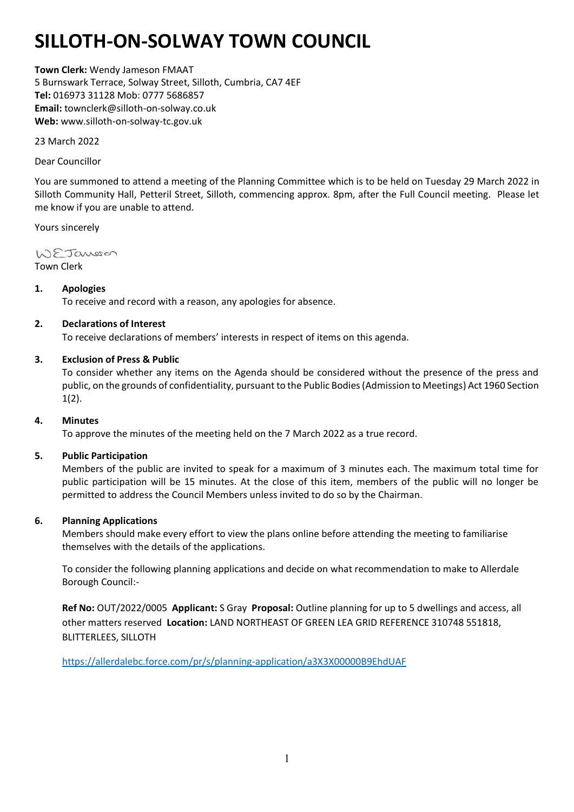# **SILLOTH-ON-SOLWAY TOWN COUNCIL**

**Town Clerk:** Wendy Jameson FMAAT 5 Burnswark Terrace, Solway Street, Silloth, Cumbria, CA7 4EF **Tel:** 016973 31128 Mob: 0777 5686857 **Email:** townclerk@silloth-on-solway.co.uk **Web:** www.silloth-on-solway-tc.gov.uk

23 March 2022

## Dear Councillor

You are summoned to attend a meeting of the Planning Committee which is to be held on Tuesday 29 March 2022 in Silloth Community Hall, Petteril Street, Silloth, commencing approx. 8pm, after the Full Council meeting. Please let me know if you are unable to attend.

Yours sincerely

WEJansson Town Clerk

## **1. Apologies**

To receive and record with a reason, any apologies for absence.

## **2. Declarations of Interest**

To receive declarations of members' interests in respect of items on this agenda.

## **3. Exclusion of Press & Public**

To consider whether any items on the Agenda should be considered without the presence of the press and public, on the grounds of confidentiality, pursuant to the Public Bodies (Admission to Meetings) Act 1960 Section  $1(2)$ .

#### **4. Minutes**

To approve the minutes of the meeting held on the 7 March 2022 as a true record.

#### **5. Public Participation**

Members of the public are invited to speak for a maximum of 3 minutes each. The maximum total time for public participation will be 15 minutes. At the close of this item, members of the public will no longer be permitted to address the Council Members unless invited to do so by the Chairman.

#### **6. Planning Applications**

Members should make every effort to view the plans online before attending the meeting to familiarise themselves with the details of the applications.

To consider the following planning applications and decide on what recommendation to make to Allerdale Borough Council:-

**Ref No:** OUT/2022/0005 **Applicant:** S Gray **Proposal:** Outline planning for up to 5 dwellings and access, all other matters reserved **Location:** LAND NORTHEAST OF GREEN LEA GRID REFERENCE 310748 551818, BLITTERLEES, SILLOTH

<https://allerdalebc.force.com/pr/s/planning-application/a3X3X00000B9EhdUAF>